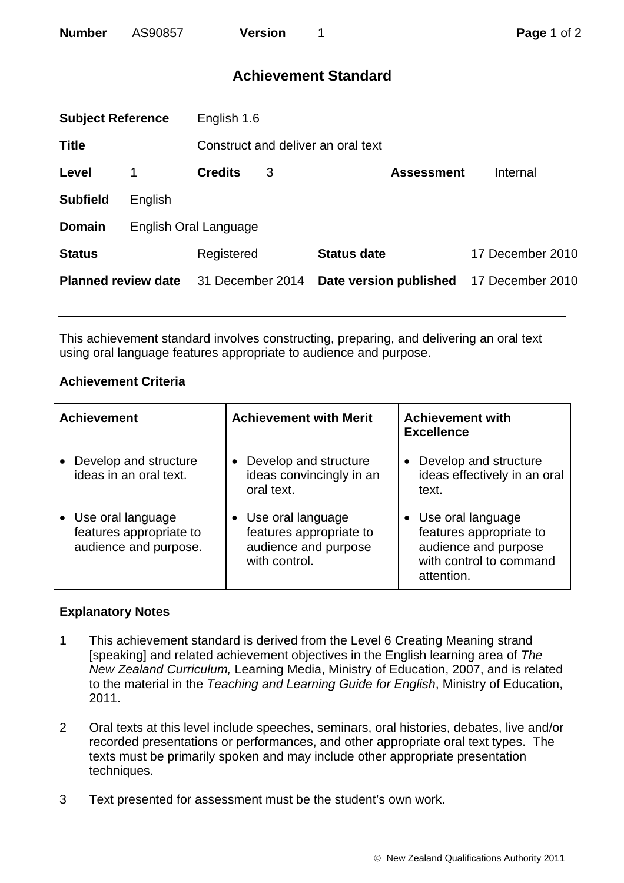| <b>Number</b> | AS90857 | <b>Version</b> |
|---------------|---------|----------------|
|               |         |                |

# **Achievement Standard**

| <b>Subject Reference</b>   |                       | English 1.6      |   |                                    |                  |  |
|----------------------------|-----------------------|------------------|---|------------------------------------|------------------|--|
| <b>Title</b>               |                       |                  |   | Construct and deliver an oral text |                  |  |
| Level                      |                       | <b>Credits</b>   | 3 | <b>Assessment</b>                  | Internal         |  |
| <b>Subfield</b>            | English               |                  |   |                                    |                  |  |
| <b>Domain</b>              | English Oral Language |                  |   |                                    |                  |  |
| <b>Status</b>              |                       | Registered       |   | <b>Status date</b>                 | 17 December 2010 |  |
| <b>Planned review date</b> |                       | 31 December 2014 |   | Date version published             | 17 December 2010 |  |
|                            |                       |                  |   |                                    |                  |  |

This achievement standard involves constructing, preparing, and delivering an oral text using oral language features appropriate to audience and purpose.

## **Achievement Criteria**

| <b>Achievement</b>                                                      | <b>Achievement with Merit</b>                                                           | <b>Achievement with</b><br><b>Excellence</b>                                                                    |
|-------------------------------------------------------------------------|-----------------------------------------------------------------------------------------|-----------------------------------------------------------------------------------------------------------------|
| • Develop and structure<br>ideas in an oral text.                       | Develop and structure<br>ideas convincingly in an<br>oral text.                         | Develop and structure<br>ideas effectively in an oral<br>text.                                                  |
| • Use oral language<br>features appropriate to<br>audience and purpose. | • Use oral language<br>features appropriate to<br>audience and purpose<br>with control. | • Use oral language<br>features appropriate to<br>audience and purpose<br>with control to command<br>attention. |

## **Explanatory Notes**

- 1 This achievement standard is derived from the Level 6 Creating Meaning strand [speaking] and related achievement objectives in the English learning area of *The New Zealand Curriculum,* Learning Media, Ministry of Education, 2007, and is related to the material in the *Teaching and Learning Guide for English*, Ministry of Education, 2011.
- 2 Oral texts at this level include speeches, seminars, oral histories, debates, live and/or recorded presentations or performances, and other appropriate oral text types. The texts must be primarily spoken and may include other appropriate presentation techniques.
- 3 Text presented for assessment must be the student's own work.